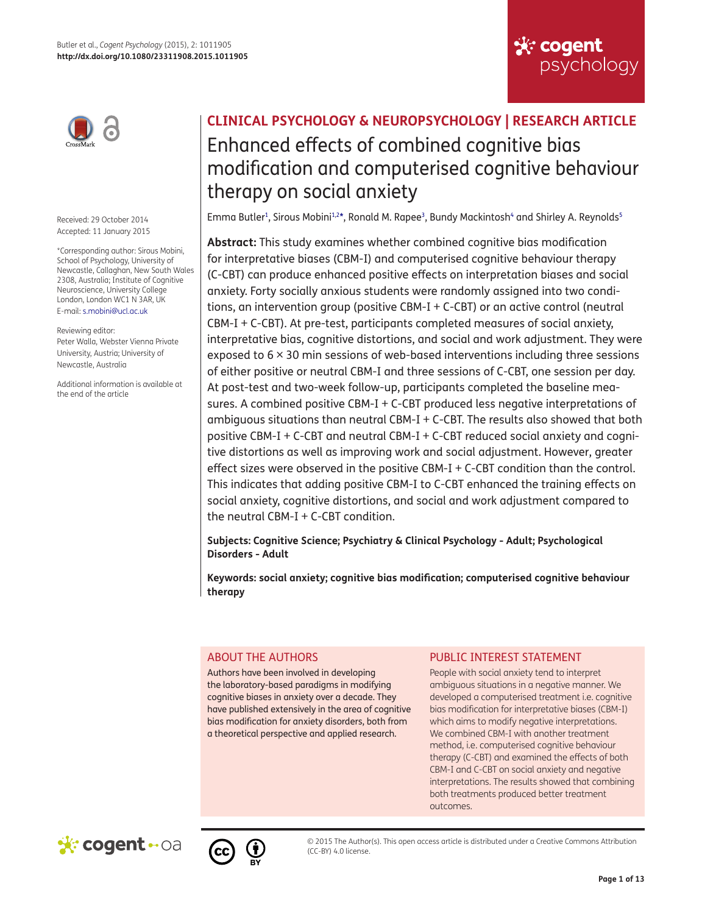

Received: 29 October 2014 Accepted: 11 January 2015

<span id="page-0-0"></span>\*Corresponding author: Sirous Mobini, School of Psychology, University of Newcastle, Callaghan, New South Wales 2308, Australia; Institute of Cognitive Neuroscience, University College London, London WC1 N 3AR, UK E-mail: [s.mobini@ucl.ac.uk](mailto:s.mobini@ucl.ac.uk)

Reviewing editor:

Peter Walla, Webster Vienna Private University, Austria; University of Newcastle, Australia

Additional information is available at the end of the article

# **CLINICAL PSYCHOLOGY & NEUROPSYCHOLOGY | RESEARCH ARTICLE** Enhanced effects of combined cognitive bias modification and computerised cognitive behaviour therapy on social anxiety

**Six cogent** 

<span id="page-0-6"></span><span id="page-0-5"></span><span id="page-0-4"></span><span id="page-0-3"></span><span id="page-0-2"></span>psychology

<span id="page-0-1"></span>Emma Butler<sup>1</sup>, Sirous Mobini<sup>1,[2](#page-10-2)[\\*](#page-0-0)</sup>, Ronald M. Rapee<sup>3</sup>, Bundy Mackintosh<sup>4</sup> and Shirley A. Reynolds<sup>[5](#page-10-5)</sup>

**Abstract:** This study examines whether combined cognitive bias modification for interpretative biases (CBM-I) and computerised cognitive behaviour therapy (C-CBT) can produce enhanced positive effects on interpretation biases and social anxiety. Forty socially anxious students were randomly assigned into two conditions, an intervention group (positive CBM-I + C-CBT) or an active control (neutral CBM-I + C-CBT). At pre-test, participants completed measures of social anxiety, interpretative bias, cognitive distortions, and social and work adjustment. They were exposed to 6 × 30 min sessions of web-based interventions including three sessions of either positive or neutral CBM-I and three sessions of C-CBT, one session per day. At post-test and two-week follow-up, participants completed the baseline measures. A combined positive CBM-I + C-CBT produced less negative interpretations of ambiguous situations than neutral CBM-I + C-CBT. The results also showed that both positive CBM-I + C-CBT and neutral CBM-I + C-CBT reduced social anxiety and cognitive distortions as well as improving work and social adjustment. However, greater effect sizes were observed in the positive CBM-I + C-CBT condition than the control. This indicates that adding positive CBM-I to C-CBT enhanced the training effects on social anxiety, cognitive distortions, and social and work adjustment compared to the neutral CBM-I  $+$  C-CBT condition.

**Subjects: Cognitive Science; Psychiatry & Clinical Psychology - Adult; Psychological Disorders - Adult**

**Keywords: social anxiety; cognitive bias modification; computerised cognitive behaviour therapy**

# ABOUT THE AUTHORS

Authors have been involved in developing the laboratory-based paradigms in modifying cognitive biases in anxiety over a decade. They have published extensively in the area of cognitive bias modification for anxiety disorders, both from a theoretical perspective and applied research.

# PUBLIC INTEREST STATEMENT

People with social anxiety tend to interpret ambiguous situations in a negative manner. We developed a computerised treatment i.e. cognitive bias modification for interpretative biases (CBM-I) which aims to modify negative interpretations. We combined CBM-I with another treatment method, i.e. computerised cognitive behaviour therapy (C-CBT) and examined the effects of both CBM-I and C-CBT on social anxiety and negative interpretations. The results showed that combining both treatments produced better treatment outcomes.





© 2015 The Author(s). This open access article is distributed under a Creative Commons Attribution (CC-BY) 4.0 license.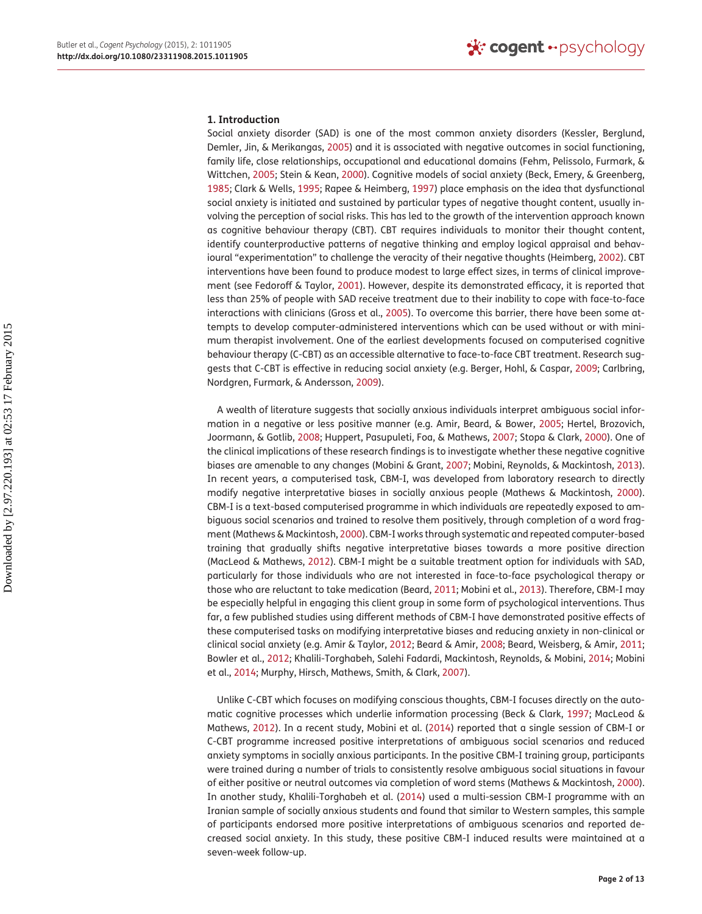#### **1. Introduction**

<span id="page-1-26"></span><span id="page-1-25"></span><span id="page-1-17"></span><span id="page-1-14"></span><span id="page-1-12"></span><span id="page-1-10"></span><span id="page-1-6"></span>Social anxiety disorder (SAD) is one of the most common anxiety disorders (Kessler, Berglund, Demler, Jin, & Merikangas, [2005](#page-11-0)) and it is associated with negative outcomes in social functioning, family life, close relationships, occupational and educational domains (Fehm, Pelissolo, Furmark, & Wittchen, [2005;](#page-11-1) Stein & Kean, [2000\)](#page-12-0). Cognitive models of social anxiety (Beck, Emery, & Greenberg, [1985](#page-10-6); Clark & Wells, [1995;](#page-11-2) Rapee & Heimberg, [1997](#page-11-3)) place emphasis on the idea that dysfunctional social anxiety is initiated and sustained by particular types of negative thought content, usually involving the perception of social risks. This has led to the growth of the intervention approach known as cognitive behaviour therapy (CBT). CBT requires individuals to monitor their thought content, identify counterproductive patterns of negative thinking and employ logical appraisal and behavioural "experimentation" to challenge the veracity of their negative thoughts (Heimberg, [2002\)](#page-11-4). CBT interventions have been found to produce modest to large effect sizes, in terms of clinical improvement (see Fedoroff & Taylor, [2001](#page-11-5)). However, despite its demonstrated efficacy, it is reported that less than 25% of people with SAD receive treatment due to their inability to cope with face-to-face interactions with clinicians (Gross et al., [2005](#page-11-6)). To overcome this barrier, there have been some attempts to develop computer-administered interventions which can be used without or with minimum therapist involvement. One of the earliest developments focused on computerised cognitive behaviour therapy (C-CBT) as an accessible alternative to face-to-face CBT treatment. Research suggests that C-CBT is effective in reducing social anxiety (e.g. Berger, Hohl, & Caspar, [2009;](#page-10-7) Carlbring, Nordgren, Furmark, & Andersson, [2009\)](#page-11-7).

<span id="page-1-27"></span><span id="page-1-23"></span><span id="page-1-21"></span><span id="page-1-20"></span><span id="page-1-16"></span><span id="page-1-15"></span><span id="page-1-13"></span><span id="page-1-11"></span><span id="page-1-9"></span><span id="page-1-7"></span><span id="page-1-0"></span>A wealth of literature suggests that socially anxious individuals interpret ambiguous social information in a negative or less positive manner (e.g. Amir, Beard, & Bower, [2005](#page-10-8); Hertel, Brozovich, Joormann, & Gotlib, [2008;](#page-11-8) Huppert, Pasupuleti, Foa, & Mathews, [2007](#page-11-9); Stopa & Clark, [2000](#page-12-1)). One of the clinical implications of these research findings is to investigate whether these negative cognitive biases are amenable to any changes (Mobini & Grant, [2007;](#page-11-10) Mobini, Reynolds, & Mackintosh, [2013](#page-11-11)). In recent years, a computerised task, CBM-I, was developed from laboratory research to directly modify negative interpretative biases in socially anxious people (Mathews & Mackintosh, [2000](#page-11-12)). CBM-I is a text-based computerised programme in which individuals are repeatedly exposed to ambiguous social scenarios and trained to resolve them positively, through completion of a word fragment (Mathews & Mackintosh, [2000\)](#page-11-12). CBM-I works through systematic and repeated computer-based training that gradually shifts negative interpretative biases towards a more positive direction (MacLeod & Mathews, [2012\)](#page-11-13). CBM-I might be a suitable treatment option for individuals with SAD, particularly for those individuals who are not interested in face-to-face psychological therapy or those who are reluctant to take medication (Beard, [2011](#page-10-9); Mobini et al., [2013](#page-11-11)). Therefore, CBM-I may be especially helpful in engaging this client group in some form of psychological interventions. Thus far, a few published studies using different methods of CBM-I have demonstrated positive effects of these computerised tasks on modifying interpretative biases and reducing anxiety in non-clinical or clinical social anxiety (e.g. Amir & Taylor, [2012;](#page-10-10) Beard & Amir, [2008;](#page-10-11) Beard, Weisberg, & Amir, [2011;](#page-10-12) Bowler et al., [2012](#page-11-14); Khalili-Torghabeh, Salehi Fadardi, Mackintosh, Reynolds, & Mobini, [2014](#page-11-15); Mobini et al., [2014](#page-11-16); Murphy, Hirsch, Mathews, Smith, & Clark, [2007](#page-11-17)).

<span id="page-1-24"></span><span id="page-1-22"></span><span id="page-1-19"></span><span id="page-1-18"></span><span id="page-1-8"></span><span id="page-1-5"></span><span id="page-1-4"></span><span id="page-1-3"></span><span id="page-1-2"></span><span id="page-1-1"></span>Unlike C-CBT which focuses on modifying conscious thoughts, CBM-I focuses directly on the automatic cognitive processes which underlie information processing (Beck & Clark, [1997;](#page-10-13) MacLeod & Mathews, [2012\)](#page-11-13). In a recent study, Mobini et al. [\(2014](#page-11-16)) reported that a single session of CBM-I or C-CBT programme increased positive interpretations of ambiguous social scenarios and reduced anxiety symptoms in socially anxious participants. In the positive CBM-I training group, participants were trained during a number of trials to consistently resolve ambiguous social situations in favour of either positive or neutral outcomes via completion of word stems (Mathews & Mackintosh, [2000](#page-11-12)). In another study, Khalili-Torghabeh et al. [\(2014\)](#page-11-15) used a multi-session CBM-I programme with an Iranian sample of socially anxious students and found that similar to Western samples, this sample of participants endorsed more positive interpretations of ambiguous scenarios and reported decreased social anxiety. In this study, these positive CBM-I induced results were maintained at a seven-week follow-up.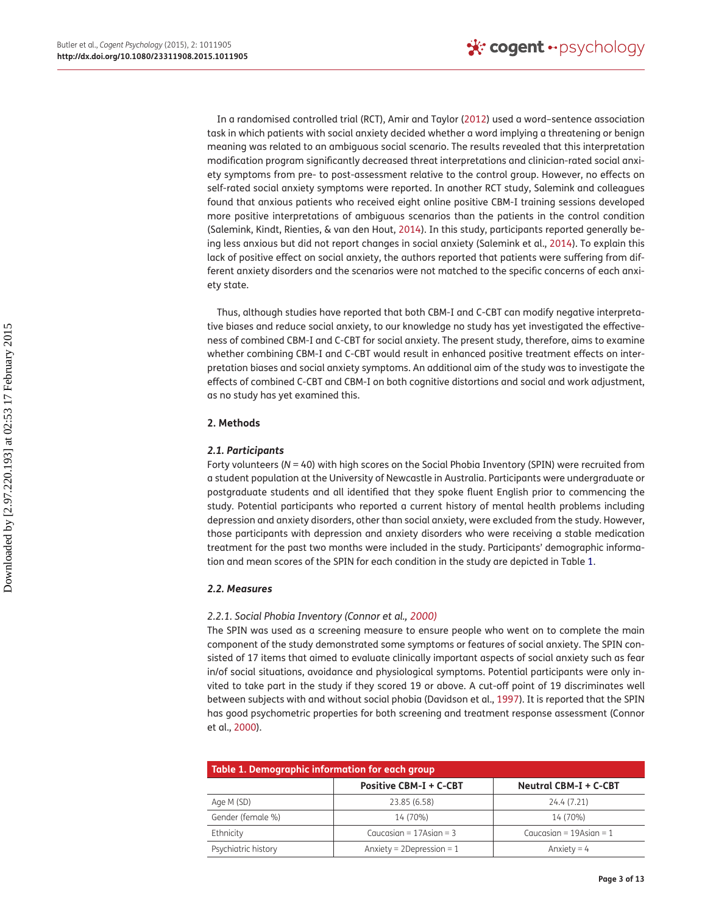In a randomised controlled trial (RCT), Amir and Taylor ([2012](#page-10-10)) used a word–sentence association task in which patients with social anxiety decided whether a word implying a threatening or benign meaning was related to an ambiguous social scenario. The results revealed that this interpretation modification program significantly decreased threat interpretations and clinician-rated social anxiety symptoms from pre- to post-assessment relative to the control group. However, no effects on self-rated social anxiety symptoms were reported. In another RCT study, Salemink and colleagues found that anxious patients who received eight online positive CBM-I training sessions developed more positive interpretations of ambiguous scenarios than the patients in the control condition (Salemink, Kindt, Rienties, & van den Hout, [2014\)](#page-12-2). In this study, participants reported generally being less anxious but did not report changes in social anxiety (Salemink et al., [2014\)](#page-12-2). To explain this lack of positive effect on social anxiety, the authors reported that patients were suffering from different anxiety disorders and the scenarios were not matched to the specific concerns of each anxiety state.

<span id="page-2-3"></span>Thus, although studies have reported that both CBM-I and C-CBT can modify negative interpretative biases and reduce social anxiety, to our knowledge no study has yet investigated the effectiveness of combined CBM-I and C-CBT for social anxiety. The present study, therefore, aims to examine whether combining CBM-I and C-CBT would result in enhanced positive treatment effects on interpretation biases and social anxiety symptoms. An additional aim of the study was to investigate the effects of combined C-CBT and CBM-I on both cognitive distortions and social and work adjustment, as no study has yet examined this.

## **2. Methods**

## *2.1. Participants*

Forty volunteers (*N* = 40) with high scores on the Social Phobia Inventory (SPIN) were recruited from a student population at the University of Newcastle in Australia. Participants were undergraduate or postgraduate students and all identified that they spoke fluent English prior to commencing the study. Potential participants who reported a current history of mental health problems including depression and anxiety disorders, other than social anxiety, were excluded from the study. However, those participants with depression and anxiety disorders who were receiving a stable medication treatment for the past two months were included in the study. Participants' demographic information and mean scores of the SPIN for each condition in the study are depicted in Table [1](#page-2-0).

## *2.2. Measures*

## <span id="page-2-1"></span>*2.2.1. Social Phobia Inventory (Connor et al., [2000\)](#page-11-18)*

<span id="page-2-2"></span>The SPIN was used as a screening measure to ensure people who went on to complete the main component of the study demonstrated some symptoms or features of social anxiety. The SPIN consisted of 17 items that aimed to evaluate clinically important aspects of social anxiety such as fear in/of social situations, avoidance and physiological symptoms. Potential participants were only invited to take part in the study if they scored 19 or above. A cut-off point of 19 discriminates well between subjects with and without social phobia (Davidson et al., [1997\)](#page-11-19). It is reported that the SPIN has good psychometric properties for both screening and treatment response assessment (Connor et al., [2000](#page-11-18)).

<span id="page-2-0"></span>

| Table 1. Demographic information for each group |                                |                              |  |  |
|-------------------------------------------------|--------------------------------|------------------------------|--|--|
|                                                 | <b>Positive CBM-I + C-CBT</b>  | Neutral CBM-I + C-CBT        |  |  |
| Age M (SD)                                      | 23.85 (6.58)                   | 24.4 (7.21)                  |  |  |
| Gender (female %)                               | 14 (70%)                       | 14 (70%)                     |  |  |
| Ethnicity                                       | Caucasian = $17$ Asian = $3$   | Caucasian = $19$ Asian = $1$ |  |  |
| Psychiatric history                             | Anxiety = $2$ Depression = $1$ | Anxiety = $4$                |  |  |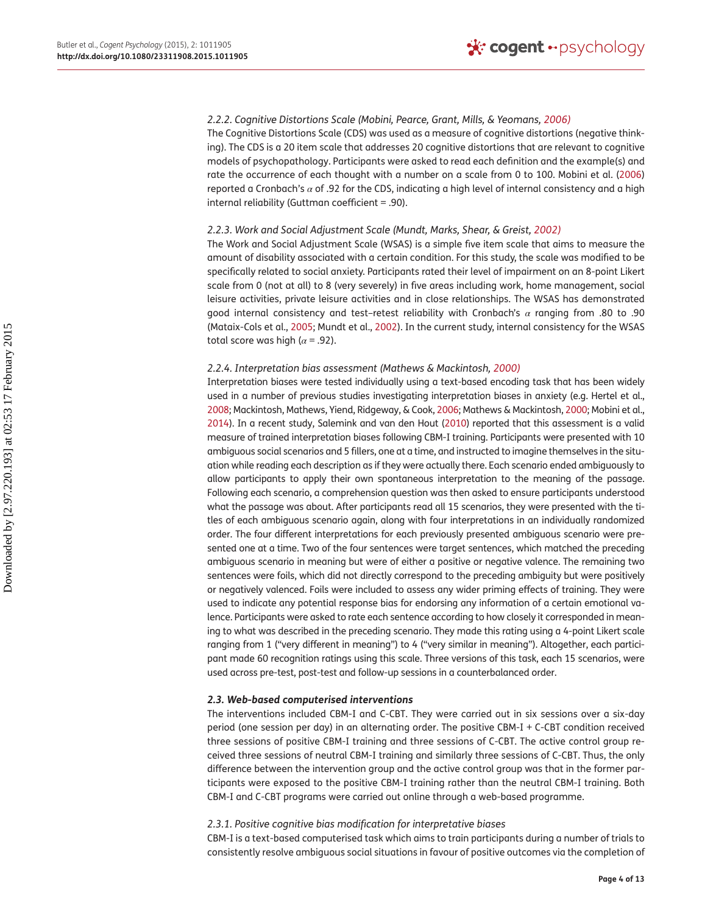### <span id="page-3-2"></span>*2.2.2. Cognitive Distortions Scale (Mobini, Pearce, Grant, Mills, & Yeomans, [2006\)](#page-11-20)*

The Cognitive Distortions Scale (CDS) was used as a measure of cognitive distortions (negative thinking). The CDS is a 20 item scale that addresses 20 cognitive distortions that are relevant to cognitive models of psychopathology. Participants were asked to read each definition and the example(s) and rate the occurrence of each thought with a number on a scale from 0 to 100. Mobini et al. ([2006](#page-11-20)) reported a Cronbach's *α* of .92 for the CDS, indicating a high level of internal consistency and a high internal reliability (Guttman coefficient = .90).

## <span id="page-3-3"></span>*2.2.3. Work and Social Adjustment Scale (Mundt, Marks, Shear, & Greist, [2002](#page-11-21))*

The Work and Social Adjustment Scale (WSAS) is a simple five item scale that aims to measure the amount of disability associated with a certain condition. For this study, the scale was modified to be specifically related to social anxiety. Participants rated their level of impairment on an 8-point Likert scale from 0 (not at all) to 8 (very severely) in five areas including work, home management, social leisure activities, private leisure activities and in close relationships. The WSAS has demonstrated good internal consistency and test–retest reliability with Cronbach's *α* ranging from .80 to .90 (Mataix-Cols et al., [2005;](#page-11-22) Mundt et al., [2002\)](#page-11-21). In the current study, internal consistency for the WSAS total score was high ( $\alpha$  = .92).

#### <span id="page-3-1"></span>*2.2.4. Interpretation bias assessment (Mathews & Mackintosh, [2000\)](#page-11-12)*

<span id="page-3-4"></span><span id="page-3-0"></span>Interpretation biases were tested individually using a text-based encoding task that has been widely used in a number of previous studies investigating interpretation biases in anxiety (e.g. Hertel et al., [2008;](#page-11-8) Mackintosh, Mathews, Yiend, Ridgeway, & Cook, [2006](#page-11-23); Mathews & Mackintosh, [2000;](#page-11-12) Mobini et al., [2014\)](#page-11-16). In a recent study, Salemink and van den Hout [\(2010\)](#page-12-3) reported that this assessment is a valid measure of trained interpretation biases following CBM-I training. Participants were presented with 10 ambiguous social scenarios and 5 fillers, one at a time, and instructed to imagine themselves in the situation while reading each description as if they were actually there. Each scenario ended ambiguously to allow participants to apply their own spontaneous interpretation to the meaning of the passage. Following each scenario, a comprehension question was then asked to ensure participants understood what the passage was about. After participants read all 15 scenarios, they were presented with the titles of each ambiguous scenario again, along with four interpretations in an individually randomized order. The four different interpretations for each previously presented ambiguous scenario were presented one at a time. Two of the four sentences were target sentences, which matched the preceding ambiguous scenario in meaning but were of either a positive or negative valence. The remaining two sentences were foils, which did not directly correspond to the preceding ambiguity but were positively or negatively valenced. Foils were included to assess any wider priming effects of training. They were used to indicate any potential response bias for endorsing any information of a certain emotional valence. Participants were asked to rate each sentence according to how closely it corresponded in meaning to what was described in the preceding scenario. They made this rating using a 4-point Likert scale ranging from 1 ("very different in meaning") to 4 ("very similar in meaning"). Altogether, each participant made 60 recognition ratings using this scale. Three versions of this task, each 15 scenarios, were used across pre-test, post-test and follow-up sessions in a counterbalanced order.

#### *2.3. Web-based computerised interventions*

The interventions included CBM-I and C-CBT. They were carried out in six sessions over a six-day period (one session per day) in an alternating order. The positive CBM-I + C-CBT condition received three sessions of positive CBM-I training and three sessions of C-CBT. The active control group received three sessions of neutral CBM-I training and similarly three sessions of C-CBT. Thus, the only difference between the intervention group and the active control group was that in the former participants were exposed to the positive CBM-I training rather than the neutral CBM-I training. Both CBM-I and C-CBT programs were carried out online through a web-based programme.

#### *2.3.1. Positive cognitive bias modification for interpretative biases*

CBM-I is a text-based computerised task which aims to train participants during a number of trials to consistently resolve ambiguous social situations in favour of positive outcomes via the completion of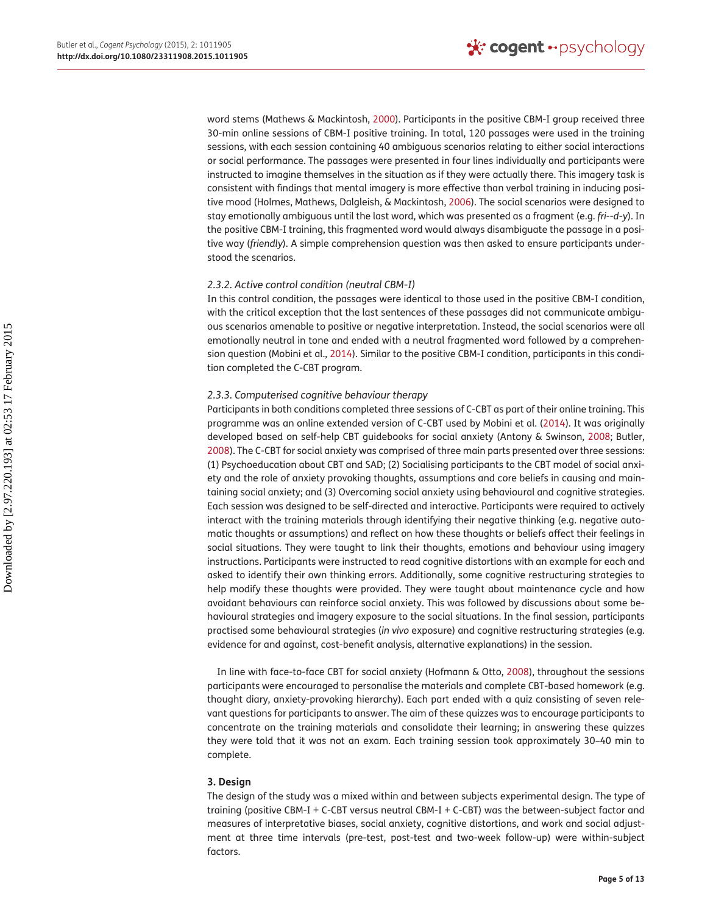<span id="page-4-3"></span>word stems (Mathews & Mackintosh, [2000](#page-11-12)). Participants in the positive CBM-I group received three 30-min online sessions of CBM-I positive training. In total, 120 passages were used in the training sessions, with each session containing 40 ambiguous scenarios relating to either social interactions or social performance. The passages were presented in four lines individually and participants were instructed to imagine themselves in the situation as if they were actually there. This imagery task is consistent with findings that mental imagery is more effective than verbal training in inducing positive mood (Holmes, Mathews, Dalgleish, & Mackintosh, [2006\)](#page-11-24). The social scenarios were designed to stay emotionally ambiguous until the last word, which was presented as a fragment (e.g. *fri--d*-*y*). In the positive CBM-I training, this fragmented word would always disambiguate the passage in a positive way (*friendly*). A simple comprehension question was then asked to ensure participants understood the scenarios.

## *2.3.2. Active control condition (neutral CBM-I)*

In this control condition, the passages were identical to those used in the positive CBM-I condition, with the critical exception that the last sentences of these passages did not communicate ambiguous scenarios amenable to positive or negative interpretation. Instead, the social scenarios were all emotionally neutral in tone and ended with a neutral fragmented word followed by a comprehension question (Mobini et al., [2014\)](#page-11-16). Similar to the positive CBM-I condition, participants in this condition completed the C-CBT program.

## *2.3.3. Computerised cognitive behaviour therapy*

<span id="page-4-1"></span><span id="page-4-0"></span>Participants in both conditions completed three sessions of C-CBT as part of their online training. This programme was an online extended version of C-CBT used by Mobini et al. ([2014\)](#page-11-16). It was originally developed based on self-help CBT guidebooks for social anxiety (Antony & Swinson, [2008;](#page-10-14) Butler, [2008](#page-11-25)). The C-CBT for social anxiety was comprised of three main parts presented over three sessions: (1) Psychoeducation about CBT and SAD; (2) Socialising participants to the CBT model of social anxiety and the role of anxiety provoking thoughts, assumptions and core beliefs in causing and maintaining social anxiety; and (3) Overcoming social anxiety using behavioural and cognitive strategies. Each session was designed to be self-directed and interactive. Participants were required to actively interact with the training materials through identifying their negative thinking (e.g. negative automatic thoughts or assumptions) and reflect on how these thoughts or beliefs affect their feelings in social situations. They were taught to link their thoughts, emotions and behaviour using imagery instructions. Participants were instructed to read cognitive distortions with an example for each and asked to identify their own thinking errors. Additionally, some cognitive restructuring strategies to help modify these thoughts were provided. They were taught about maintenance cycle and how avoidant behaviours can reinforce social anxiety. This was followed by discussions about some behavioural strategies and imagery exposure to the social situations. In the final session, participants practised some behavioural strategies (*in vivo* exposure) and cognitive restructuring strategies (e.g. evidence for and against, cost-benefit analysis, alternative explanations) in the session.

<span id="page-4-2"></span>In line with face-to-face CBT for social anxiety (Hofmann & Otto, [2008](#page-11-26)), throughout the sessions participants were encouraged to personalise the materials and complete CBT-based homework (e.g. thought diary, anxiety-provoking hierarchy). Each part ended with a quiz consisting of seven relevant questions for participants to answer. The aim of these quizzes was to encourage participants to concentrate on the training materials and consolidate their learning; in answering these quizzes they were told that it was not an exam. Each training session took approximately 30–40 min to complete.

## **3. Design**

The design of the study was a mixed within and between subjects experimental design. The type of training (positive CBM-I + C-CBT versus neutral CBM-I + C-CBT) was the between-subject factor and measures of interpretative biases, social anxiety, cognitive distortions, and work and social adjustment at three time intervals (pre-test, post-test and two-week follow-up) were within-subject factors.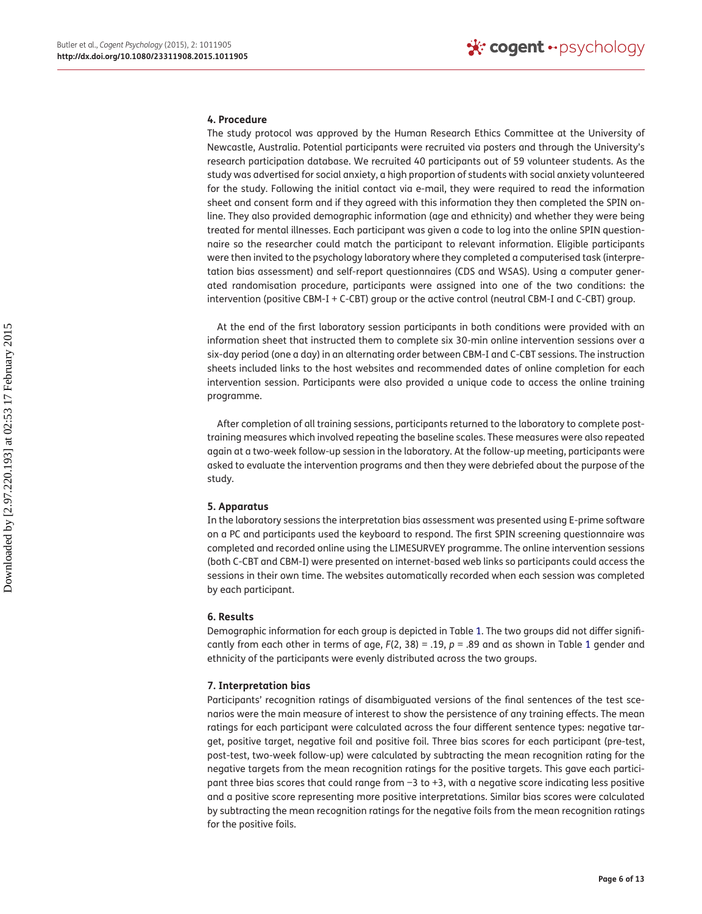#### **4. Procedure**

The study protocol was approved by the Human Research Ethics Committee at the University of Newcastle, Australia. Potential participants were recruited via posters and through the University's research participation database. We recruited 40 participants out of 59 volunteer students. As the study was advertised for social anxiety, a high proportion of students with social anxiety volunteered for the study. Following the initial contact via e-mail, they were required to read the information sheet and consent form and if they agreed with this information they then completed the SPIN online. They also provided demographic information (age and ethnicity) and whether they were being treated for mental illnesses. Each participant was given a code to log into the online SPIN questionnaire so the researcher could match the participant to relevant information. Eligible participants were then invited to the psychology laboratory where they completed a computerised task (interpretation bias assessment) and self-report questionnaires (CDS and WSAS). Using a computer generated randomisation procedure, participants were assigned into one of the two conditions: the intervention (positive CBM-I + C-CBT) group or the active control (neutral CBM-I and C-CBT) group.

At the end of the first laboratory session participants in both conditions were provided with an information sheet that instructed them to complete six 30-min online intervention sessions over a six-day period (one a day) in an alternating order between CBM-I and C-CBT sessions. The instruction sheets included links to the host websites and recommended dates of online completion for each intervention session. Participants were also provided a unique code to access the online training programme.

After completion of all training sessions, participants returned to the laboratory to complete posttraining measures which involved repeating the baseline scales. These measures were also repeated again at a two-week follow-up session in the laboratory. At the follow-up meeting, participants were asked to evaluate the intervention programs and then they were debriefed about the purpose of the study.

#### **5. Apparatus**

In the laboratory sessions the interpretation bias assessment was presented using E-prime software on a PC and participants used the keyboard to respond. The first SPIN screening questionnaire was completed and recorded online using the LIMESURVEY programme. The online intervention sessions (both C-CBT and CBM-I) were presented on internet-based web links so participants could access the sessions in their own time. The websites automatically recorded when each session was completed by each participant.

## **6. Results**

Demographic information for each group is depicted in Table [1](#page-2-0). The two groups did not differ significantly from each other in terms of age, *F*(2, 38) = .19, *p* = .89 and as shown in Table [1](#page-2-0) gender and ethnicity of the participants were evenly distributed across the two groups.

## **7. Interpretation bias**

Participants' recognition ratings of disambiguated versions of the final sentences of the test scenarios were the main measure of interest to show the persistence of any training effects. The mean ratings for each participant were calculated across the four different sentence types: negative target, positive target, negative foil and positive foil. Three bias scores for each participant (pre-test, post-test, two-week follow-up) were calculated by subtracting the mean recognition rating for the negative targets from the mean recognition ratings for the positive targets. This gave each participant three bias scores that could range from −3 to +3, with a negative score indicating less positive and a positive score representing more positive interpretations. Similar bias scores were calculated by subtracting the mean recognition ratings for the negative foils from the mean recognition ratings for the positive foils.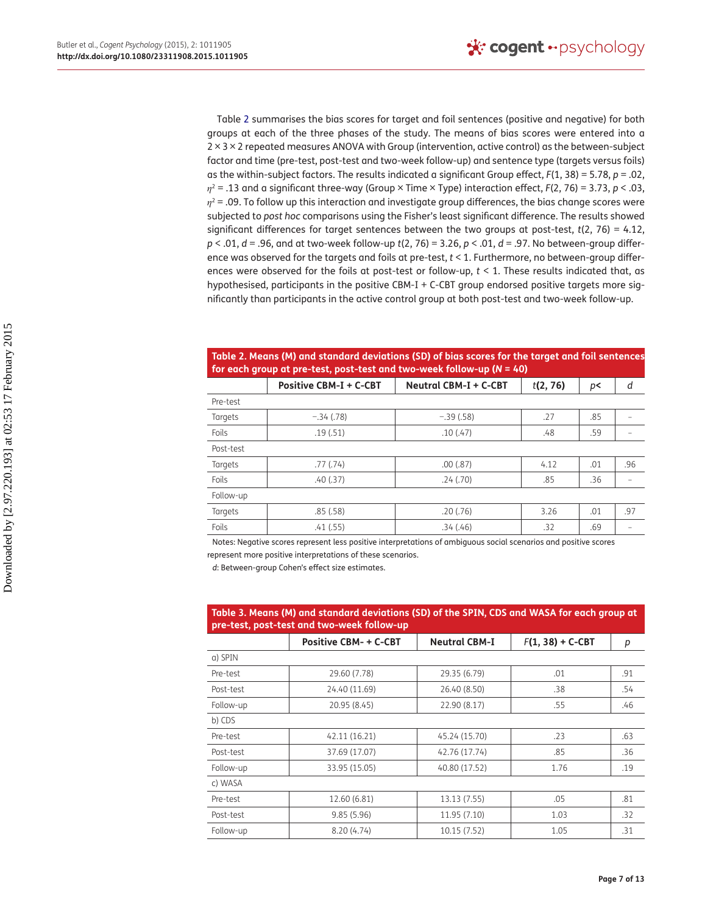Table [2](#page-6-0) summarises the bias scores for target and foil sentences (positive and negative) for both groups at each of the three phases of the study. The means of bias scores were entered into a 2 × 3 × 2 repeated measures ANOVA with Group (intervention, active control) as the between-subject factor and time (pre-test, post-test and two-week follow-up) and sentence type (targets versus foils) as the within-subject factors. The results indicated a significant Group effect, *F*(1, 38) = 5.78, *p* = .02, *η*2 = .13 and a significant three-way (Group × Time × Type) interaction effect, *F*(2, 76) = 3.73, *p* < .03,  $\eta^2$  = .09. To follow up this interaction and investigate group differences, the bias change scores were subjected to *post hoc* comparisons using the Fisher's least significant difference. The results showed significant differences for target sentences between the two groups at post-test, *t*(2, 76) = 4.12, *p* < .01, *d* = .96, and at two-week follow-up *t*(2, 76) = 3.26, *p* < .01, *d* = .97. No between-group difference was observed for the targets and foils at pre-test, *t* < 1. Furthermore, no between-group differences were observed for the foils at post-test or follow-up, *t* < 1. These results indicated that, as hypothesised, participants in the positive CBM-I + C-CBT group endorsed positive targets more significantly than participants in the active control group at both post-test and two-week follow-up.

## <span id="page-6-0"></span>**Table 2. Means (M) and standard deviations (SD) of bias scores for the target and foil sentences for each group at pre-test, post-test and two-week follow-up (***N* **= 40)**

|           | <b>Positive CBM-I + C-CBT</b> | Neutral CBM-I + C-CBT | t(2, 76) | p<  | d   |
|-----------|-------------------------------|-----------------------|----------|-----|-----|
| Pre-test  |                               |                       |          |     |     |
| Targets   | $-.34(.78)$                   | $-.39(.58)$           | .27      | .85 |     |
| Foils     | .19(.51)                      | .10(.47)              | .48      | .59 |     |
| Post-test |                               |                       |          |     |     |
| Targets   | .77(0.74)                     | .00(.87)              | 4.12     | .01 | .96 |
| Foils     | .40(.37)                      | .24(.70)              | .85      | .36 |     |
| Follow-up |                               |                       |          |     |     |
| Targets   | .85(.58)                      | .20(.76)              | 3.26     | .01 | .97 |
| Foils     | .41(.55)                      | .34(.46)              | .32      | .69 |     |

Notes: Negative scores represent less positive interpretations of ambiguous social scenarios and positive scores represent more positive interpretations of these scenarios.

*d*: Between-group Cohen's effect size estimates.

<span id="page-6-1"></span>

| Table 3. Means (M) and standard deviations (SD) of the SPIN, CDS and WASA for each group at<br>pre-test, post-test and two-week follow-up |                              |                      |                    |     |  |  |
|-------------------------------------------------------------------------------------------------------------------------------------------|------------------------------|----------------------|--------------------|-----|--|--|
|                                                                                                                                           | <b>Positive CBM- + C-CBT</b> | <b>Neutral CBM-I</b> | $F(1, 38) + C-CBT$ | р   |  |  |
| a) SPIN                                                                                                                                   |                              |                      |                    |     |  |  |
| Pre-test                                                                                                                                  | 29.60 (7.78)                 | 29.35 (6.79)         | .01                | .91 |  |  |
| Post-test                                                                                                                                 | 24.40 (11.69)                | 26.40 (8.50)         | .38                | .54 |  |  |
| Follow-up                                                                                                                                 | 20.95 (8.45)                 | 22.90 (8.17)         | .55                | .46 |  |  |
| b) CDS                                                                                                                                    |                              |                      |                    |     |  |  |
| Pre-test                                                                                                                                  | 42.11 (16.21)                | 45.24 (15.70)        | .23                | .63 |  |  |
| Post-test                                                                                                                                 | 37.69 (17.07)                | 42.76 (17.74)        | .85                | .36 |  |  |
| Follow-up                                                                                                                                 | 33.95 (15.05)                | 40.80 (17.52)        | 1.76               | .19 |  |  |
| c) WASA                                                                                                                                   |                              |                      |                    |     |  |  |
| Pre-test                                                                                                                                  | 12.60 (6.81)                 | 13.13 (7.55)         | .05                | .81 |  |  |
| Post-test                                                                                                                                 | 9.85(5.96)                   | 11.95 (7.10)         | 1.03               | .32 |  |  |
| Follow-up                                                                                                                                 | 8.20(4.74)                   | 10.15 (7.52)         | 1.05               | .31 |  |  |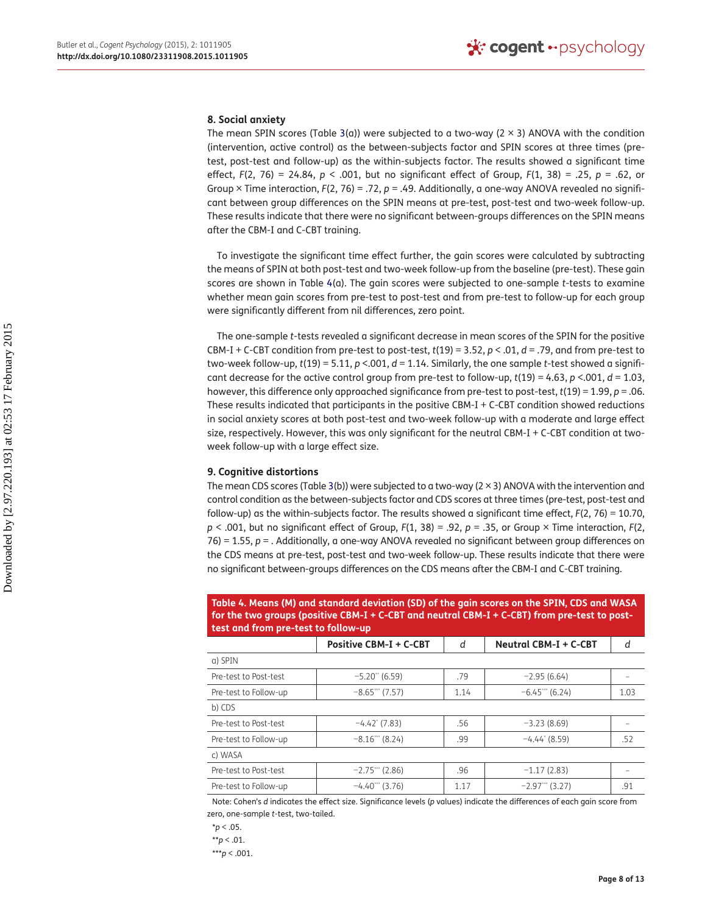#### **8. Social anxiety**

The mean SPIN scores (Table [3\(](#page-6-1)a)) were subjected to a two-way ( $2 \times 3$ ) ANOVA with the condition (intervention, active control) as the between-subjects factor and SPIN scores at three times (pretest, post-test and follow-up) as the within-subjects factor. The results showed a significant time effect, *F*(2, 76) = 24.84, *p* < .001, but no significant effect of Group, *F*(1, 38) = .25, *p* = .62, or Group × Time interaction,  $F(2, 76) = .72$ ,  $p = .49$ . Additionally, a one-way ANOVA revealed no significant between group differences on the SPIN means at pre-test, post-test and two-week follow-up. These results indicate that there were no significant between-groups differences on the SPIN means after the CBM-I and C-CBT training.

To investigate the significant time effect further, the gain scores were calculated by subtracting the means of SPIN at both post-test and two-week follow-up from the baseline (pre-test). These gain scores are shown in Table [4\(](#page-7-0)a). The gain scores were subjected to one-sample *t*-tests to examine whether mean gain scores from pre-test to post-test and from pre-test to follow-up for each group were significantly different from nil differences, zero point.

The one-sample *t*-tests revealed a significant decrease in mean scores of the SPIN for the positive CBM-I + C-CBT condition from pre-test to post-test,  $t(19) = 3.52$ ,  $p < .01$ ,  $d = .79$ , and from pre-test to two-week follow-up, *t*(19) = 5.11, *p* <.001, *d* = 1.14. Similarly, the one sample *t*-test showed a significant decrease for the active control group from pre-test to follow-up,  $t(19) = 4.63$ ,  $p < .001$ ,  $d = 1.03$ , however, this difference only approached significance from pre-test to post-test, *t*(19) = 1.99, *p* = .06. These results indicated that participants in the positive CBM-I + C-CBT condition showed reductions in social anxiety scores at both post-test and two-week follow-up with a moderate and large effect size, respectively. However, this was only significant for the neutral CBM-I + C-CBT condition at twoweek follow-up with a large effect size.

## **9. Cognitive distortions**

The mean CDS scores (Table [3\(](#page-6-1)b)) were subjected to a two-way (2 × 3) ANOVA with the intervention and control condition as the between-subjects factor and CDS scores at three times (pre-test, post-test and follow-up) as the within-subjects factor. The results showed a significant time effect, *F*(2, 76) = 10.70, *p* < .001, but no significant effect of Group, *F*(1, 38) = .92, *p* = .35, or Group × Time interaction, *F*(2, 76) = 1.55, *p* = . Additionally, a one-way ANOVA revealed no significant between group differences on the CDS means at pre-test, post-test and two-week follow-up. These results indicate that there were no significant between-groups differences on the CDS means after the CBM-I and C-CBT training.

<span id="page-7-0"></span>**Table 4. Means (M) and standard deviation (SD) of the gain scores on the SPIN, CDS and WASA for the two groups (positive CBM-I + C-CBT and neutral CBM-I + C-CBT) from pre-test to posttest and from pre-test to follow-up**

|                       | <b>Positive CBM-I + C-CBT</b> | d    | <b>Neutral CBM-I + C-CBT</b> | d    |  |  |  |
|-----------------------|-------------------------------|------|------------------------------|------|--|--|--|
| a) SPIN               |                               |      |                              |      |  |  |  |
| Pre-test to Post-test | $-5.20$ " (6.59)              | .79  | $-2.95(6.64)$                |      |  |  |  |
| Pre-test to Follow-up | $-8.65$ (7.57)                | 1.14 | $-6.45***$ (6.24)            | 1.03 |  |  |  |
| b) CDS                |                               |      |                              |      |  |  |  |
| Pre-test to Post-test | $-4.42$ (7.83)                | .56  | $-3.23(8.69)$                |      |  |  |  |
| Pre-test to Follow-up | $-8.16$ (8.24)                | .99  | $-4.44$ (8.59)               | .52  |  |  |  |
| c) WASA               |                               |      |                              |      |  |  |  |
| Pre-test to Post-test | $-2.75$ (2.86)                | .96  | $-1.17(2.83)$                |      |  |  |  |
| Pre-test to Follow-up | $-4.40$ <sup>***</sup> (3.76) | 1.17 | $-2.97***$ (3.27)            | .91  |  |  |  |

Note: Cohen's *d* indicates the effect size. Significance levels (*p* values) indicate the differences of each gain score from zero, one-sample *t*-test, two-tailed.

\*\**p* < .01.

\*\*\**p* < .001.

 $*$ *p* < .05.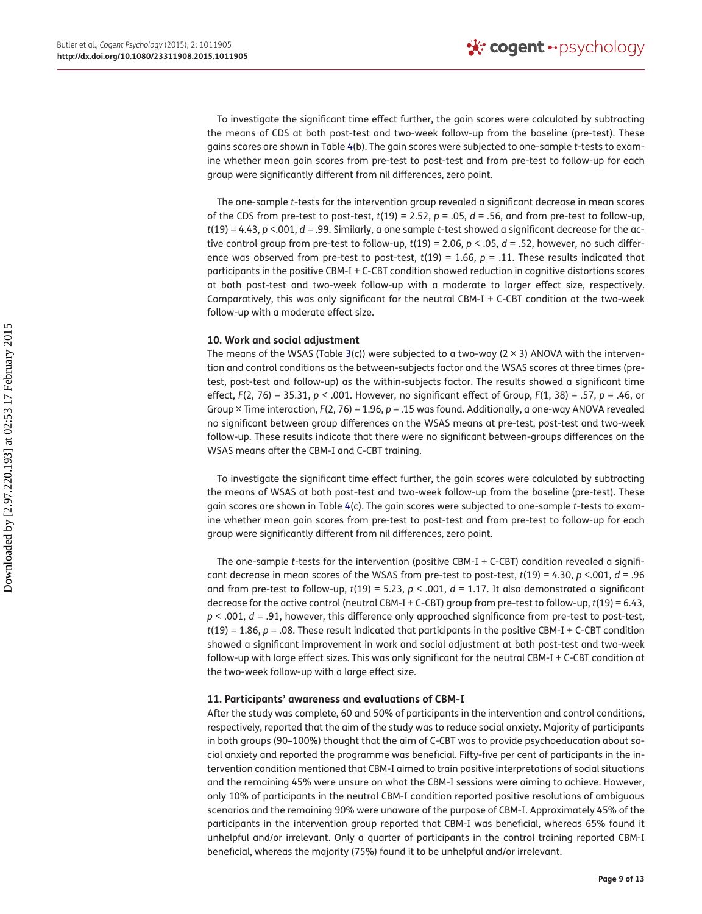To investigate the significant time effect further, the gain scores were calculated by subtracting the means of CDS at both post-test and two-week follow-up from the baseline (pre-test). These gains scores are shown in Table [4](#page-7-0)(b). The gain scores were subjected to one-sample *t*-tests to examine whether mean gain scores from pre-test to post-test and from pre-test to follow-up for each group were significantly different from nil differences, zero point.

The one-sample *t*-tests for the intervention group revealed a significant decrease in mean scores of the CDS from pre-test to post-test,  $t(19) = 2.52$ ,  $p = .05$ ,  $d = .56$ , and from pre-test to follow-up, *t*(19) = 4.43, *p* <.001, *d* = .99. Similarly, a one sample *t*-test showed a significant decrease for the active control group from pre-test to follow-up, *t*(19) = 2.06, *p* < .05, *d* = .52, however, no such difference was observed from pre-test to post-test,  $t(19) = 1.66$ ,  $p = .11$ . These results indicated that participants in the positive CBM-I + C-CBT condition showed reduction in cognitive distortions scores at both post-test and two-week follow-up with a moderate to larger effect size, respectively. Comparatively, this was only significant for the neutral CBM-I + C-CBT condition at the two-week follow-up with a moderate effect size.

## **10. Work and social adjustment**

The means of the WSAS (Table [3](#page-6-1)(c)) were subjected to a two-way ( $2 \times 3$ ) ANOVA with the intervention and control conditions as the between-subjects factor and the WSAS scores at three times (pretest, post-test and follow-up) as the within-subjects factor. The results showed a significant time effect, *F*(2, 76) = 35.31, *p* < .001. However, no significant effect of Group, *F*(1, 38) = .57, *p* = .46, or Group × Time interaction, *F*(2, 76) = 1.96, *p* = .15 was found. Additionally, a one-way ANOVA revealed no significant between group differences on the WSAS means at pre-test, post-test and two-week follow-up. These results indicate that there were no significant between-groups differences on the WSAS means after the CBM-I and C-CBT training.

To investigate the significant time effect further, the gain scores were calculated by subtracting the means of WSAS at both post-test and two-week follow-up from the baseline (pre-test). These gain scores are shown in Table [4](#page-7-0)(c). The gain scores were subjected to one-sample *t*-tests to examine whether mean gain scores from pre-test to post-test and from pre-test to follow-up for each group were significantly different from nil differences, zero point.

The one-sample *t*-tests for the intervention (positive CBM-I + C-CBT) condition revealed a significant decrease in mean scores of the WSAS from pre-test to post-test, *t*(19) = 4.30, *p* <.001, *d* = .96 and from pre-test to follow-up, *t*(19) = 5.23, *p* < .001, *d* = 1.17. It also demonstrated a significant decrease for the active control (neutral CBM-I + C-CBT) group from pre-test to follow-up, *t*(19) = 6.43, *p* < .001, *d* = .91, however, this difference only approached significance from pre-test to post-test, *t*(19) = 1.86, *p* = .08. These result indicated that participants in the positive CBM-I + C-CBT condition showed a significant improvement in work and social adjustment at both post-test and two-week follow-up with large effect sizes. This was only significant for the neutral CBM-I + C-CBT condition at the two-week follow-up with a large effect size.

#### **11. Participants' awareness and evaluations of CBM-I**

After the study was complete, 60 and 50% of participants in the intervention and control conditions, respectively, reported that the aim of the study was to reduce social anxiety. Majority of participants in both groups (90–100%) thought that the aim of C-CBT was to provide psychoeducation about social anxiety and reported the programme was beneficial. Fifty-five per cent of participants in the intervention condition mentioned that CBM-I aimed to train positive interpretations of social situations and the remaining 45% were unsure on what the CBM-I sessions were aiming to achieve. However, only 10% of participants in the neutral CBM-I condition reported positive resolutions of ambiguous scenarios and the remaining 90% were unaware of the purpose of CBM-I. Approximately 45% of the participants in the intervention group reported that CBM-I was beneficial, whereas 65% found it unhelpful and/or irrelevant. Only a quarter of participants in the control training reported CBM-I beneficial, whereas the majority (75%) found it to be unhelpful and/or irrelevant.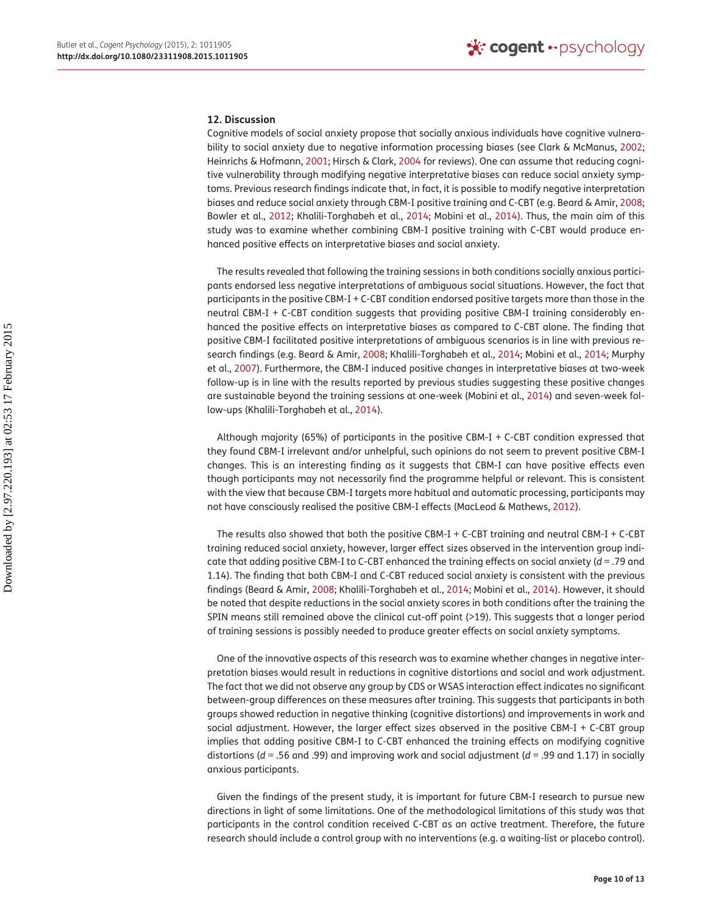#### **12. Discussion**

<span id="page-9-2"></span><span id="page-9-1"></span><span id="page-9-0"></span>Cognitive models of social anxiety propose that socially anxious individuals have cognitive vulnerability to social anxiety due to negative information processing biases (see Clark & McManus, [2002;](#page-11-27) Heinrichs & Hofmann, [2001;](#page-11-28) Hirsch & Clark, [2004](#page-11-29) for reviews). One can assume that reducing cognitive vulnerability through modifying negative interpretative biases can reduce social anxiety symptoms. Previous research findings indicate that, in fact, it is possible to modify negative interpretation biases and reduce social anxiety through CBM-I positive training and C-CBT (e.g. Beard & Amir, [2008;](#page-10-11) Bowler et al., [2012;](#page-11-14) Khalili-Torghabeh et al., [2014](#page-11-15); Mobini et al., [2014](#page-11-16)). Thus, the main aim of this study was to examine whether combining CBM-I positive training with C-CBT would produce enhanced positive effects on interpretative biases and social anxiety.

The results revealed that following the training sessions in both conditions socially anxious participants endorsed less negative interpretations of ambiguous social situations. However, the fact that participants in the positive CBM-I + C-CBT condition endorsed positive targets more than those in the neutral CBM-I + C-CBT condition suggests that providing positive CBM-I training considerably enhanced the positive effects on interpretative biases as compared to C-CBT alone. The finding that positive CBM-I facilitated positive interpretations of ambiguous scenarios is in line with previous research findings (e.g. Beard & Amir, [2008](#page-10-11); Khalili-Torghabeh et al., [2014;](#page-11-15) Mobini et al., [2014;](#page-11-16) Murphy et al., [2007\)](#page-11-17). Furthermore, the CBM-I induced positive changes in interpretative biases at two-week follow-up is in line with the results reported by previous studies suggesting these positive changes are sustainable beyond the training sessions at one-week (Mobini et al., [2014\)](#page-11-16) and seven-week follow-ups (Khalili-Torghabeh et al., [2014\)](#page-11-15).

Although majority (65%) of participants in the positive CBM-I + C-CBT condition expressed that they found CBM-I irrelevant and/or unhelpful, such opinions do not seem to prevent positive CBM-I changes. This is an interesting finding as it suggests that CBM-I can have positive effects even though participants may not necessarily find the programme helpful or relevant. This is consistent with the view that because CBM-I targets more habitual and automatic processing, participants may not have consciously realised the positive CBM-I effects (MacLeod & Mathews, [2012](#page-11-13)).

The results also showed that both the positive CBM-I + C-CBT training and neutral CBM-I + C-CBT training reduced social anxiety, however, larger effect sizes observed in the intervention group indicate that adding positive CBM-I to C-CBT enhanced the training effects on social anxiety (*d* = .79 and 1.14). The finding that both CBM-I and C-CBT reduced social anxiety is consistent with the previous findings (Beard & Amir, [2008](#page-10-11); Khalili-Torghabeh et al., [2014](#page-11-15); Mobini et al., [2014\)](#page-11-16). However, it should be noted that despite reductions in the social anxiety scores in both conditions after the training the SPIN means still remained above the clinical cut-off point (>19). This suggests that a longer period of training sessions is possibly needed to produce greater effects on social anxiety symptoms.

One of the innovative aspects of this research was to examine whether changes in negative interpretation biases would result in reductions in cognitive distortions and social and work adjustment. The fact that we did not observe any group by CDS or WSAS interaction effect indicates no significant between-group differences on these measures after training. This suggests that participants in both groups showed reduction in negative thinking (cognitive distortions) and improvements in work and social adjustment. However, the larger effect sizes observed in the positive CBM-I + C-CBT group implies that adding positive CBM-I to C-CBT enhanced the training effects on modifying cognitive distortions (*d* = .56 and .99) and improving work and social adjustment (*d* = .99 and 1.17) in socially anxious participants.

Given the findings of the present study, it is important for future CBM-I research to pursue new directions in light of some limitations. One of the methodological limitations of this study was that participants in the control condition received C-CBT as an active treatment. Therefore, the future research should include a control group with no interventions (e.g. a waiting-list or placebo control).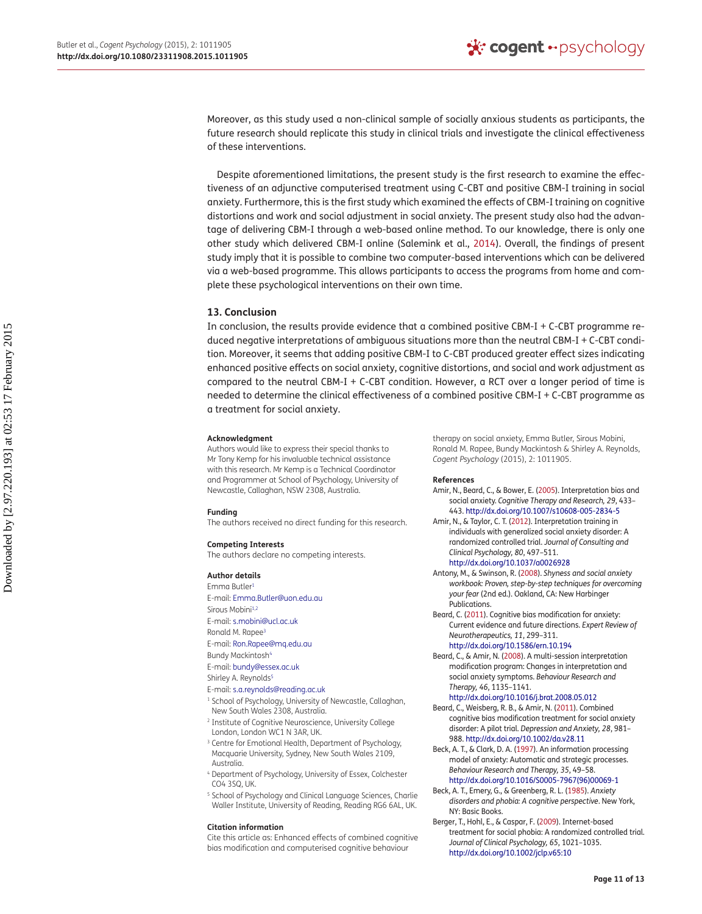Moreover, as this study used a non-clinical sample of socially anxious students as participants, the future research should replicate this study in clinical trials and investigate the clinical effectiveness of these interventions.

Despite aforementioned limitations, the present study is the first research to examine the effectiveness of an adjunctive computerised treatment using C-CBT and positive CBM-I training in social anxiety. Furthermore, this is the first study which examined the effects of CBM-I training on cognitive distortions and work and social adjustment in social anxiety. The present study also had the advantage of delivering CBM-I through a web-based online method. To our knowledge, there is only one other study which delivered CBM-I online (Salemink et al., [2014](#page-12-2)). Overall, the findings of present study imply that it is possible to combine two computer-based interventions which can be delivered via a web-based programme. This allows participants to access the programs from home and complete these psychological interventions on their own time.

#### **13. Conclusion**

In conclusion, the results provide evidence that a combined positive CBM-I + C-CBT programme reduced negative interpretations of ambiguous situations more than the neutral CBM-I + C-CBT condition. Moreover, it seems that adding positive CBM-I to C-CBT produced greater effect sizes indicating enhanced positive effects on social anxiety, cognitive distortions, and social and work adjustment as compared to the neutral CBM-I + C-CBT condition. However, a RCT over a longer period of time is needed to determine the clinical effectiveness of a combined positive CBM-I + C-CBT programme as a treatment for social anxiety.

#### **Acknowledgment**

Authors would like to express their special thanks to Mr Tony Kemp for his invaluable technical assistance with this research. Mr Kemp is a Technical Coordinator and Programmer at School of Psychology, University of Newcastle, Callaghan, NSW 2308, Australia.

#### **Funding**

The authors received no direct funding for this research.

#### **Competing Interests**

The authors declare no competing interests.

#### **Author details**

<span id="page-10-0"></span>Emma Butler[1](#page-0-1)

- E-mail: [Emma.Butler@uon.edu.au](mailto:Emma.Butler@uon.edu.au) Sirous Mobini<sup>[1,](#page-0-2)[2](#page-0-3)</sup>
- <span id="page-10-2"></span><span id="page-10-1"></span>E-mail: [s.mobini@ucl.ac.uk](mailto:s.mobini@ucl.ac.uk)
- <span id="page-10-3"></span>Ronald M. Rapee[3](#page-0-4)
- E-mail: [Ron.Rapee@mq.edu.au](mailto:Ron.Rapee@mq.edu.au)
- Bundy Mackintosh<sup>4</sup>
- E-mail: [bundy@essex.ac.uk](mailto:bundy@essex.ac.uk)
- Shirley A. Reynolds<sup>5</sup>
- E-mail: [s.a.reynolds@reading.ac.uk](mailto:s.a.reynolds@reading.ac.uk)
- <sup>1</sup> School of Psychology, University of Newcastle, Callaghan, New South Wales 2308, Australia.
- <sup>2</sup> Institute of Cognitive Neuroscience, University College London, London WC1 N 3AR, UK.
- <sup>3</sup> Centre for Emotional Health, Department of Psychology, Macquarie University, Sydney, New South Wales 2109, Australia.
- <sup>4</sup> Department of Psychology, University of Essex, Colchester CO4 3SQ, UK.
- <sup>5</sup> School of Psychology and Clinical Language Sciences, Charlie Waller Institute, University of Reading, Reading RG6 6AL, UK.

#### **Citation information**

Cite this article as: Enhanced effects of combined cognitive bias modification and computerised cognitive behaviour

therapy on social anxiety, Emma Butler, Sirous Mobini, Ronald M. Rapee, Bundy Mackintosh & Shirley A. Reynolds, *Cogent Psychology* (2015), 2: 1011905.

#### **References**

- <span id="page-10-8"></span>Amir, N., Beard, C., & Bower, E. [\(2005](#page-1-0)). Interpretation bias and social anxiety. *Cognitive Therapy and Research, 29*, 433– 443.<http://dx.doi.org/10.1007/s10608-005-2834-5>
- <span id="page-10-10"></span>Amir, N., & Taylor, C. T. ([2012\)](#page-1-1). Interpretation training in individuals with generalized social anxiety disorder: A randomized controlled trial. *Jou[rn](http://dx.doi.org/10.1037/a0026928)al of Consulting and Clinical Psychology, 80*, 497–511. <http://dx.doi.org/10.1037/a0026928>
- <span id="page-10-14"></span>Antony, M., & Swinson, R. [\(2008\)](#page-4-0). *Shyness and social anxiety workbook: Proven, step-by-step techniques for overcoming your fear* (2nd ed.). Oakland, CA: New Harbinger Publications.
- <span id="page-10-9"></span>Beard, C. [\(2011\)](#page-1-2). Cognitive bias modification for anxiety: Current evidence and future directions. *Expert Review of Neurotherapeutics, 11*, 299–311[.](http://dx.doi.org/10.1586/ern.10.194) <http://dx.doi.org/10.1586/ern.10.194>
- <span id="page-10-11"></span><span id="page-10-5"></span><span id="page-10-4"></span>Beard, C., & Amir, N. ([2008](#page-1-3)). A multi-session interpretation modification program: Changes in interpretation and social anxiety symptoms. *Behaviour Research and Therapy, 46*, 1135–1141[.](http://dx.doi.org/10.1016/j.brat.2008.05.012)

#### <http://dx.doi.org/10.1016/j.brat.2008.05.012>

- <span id="page-10-12"></span>Beard, C., Weisberg, R. B., & Amir, N. [\(2011\)](#page-1-4). Combined cognitive bias modification treatment for social anxiety disorder: A pilot trial. *Depression and Anxiety, 28*, 981– 988.<http://dx.doi.org/10.1002/da.v28.11>
- <span id="page-10-13"></span>Beck, A. T., & Clark, D. A. [\(1997](#page-1-5)). An information processing model of anxiety: Automatic and strategic processes. *Behaviour Research and Therapy, 35*, 49–58[.](http://dx.doi.org/10.1016/S0005-7967(96)00069-1) [http://dx.doi.org/10.1016/S0005-7967\(96\)00069-1](http://dx.doi.org/10.1016/S0005-7967(96)00069-1)
- <span id="page-10-6"></span>Beck, A. T., Emery, G., & Greenberg, R. L. ([1985\)](#page-1-6). *Anxiety disorders and phobia: A cognitive perspective*. New York, NY: Basic Books.
- <span id="page-10-7"></span>Berger, T., Hohl, E., & Caspar, F. [\(2009](#page-1-7)). Internet-based treatment for social phobia: A randomized controlled trial. *Journal of Clinical Psychology, 65*, 1021–1035[.](http://dx.doi.org/10.1002/jclp.v65:10) <http://dx.doi.org/10.1002/jclp.v65:10>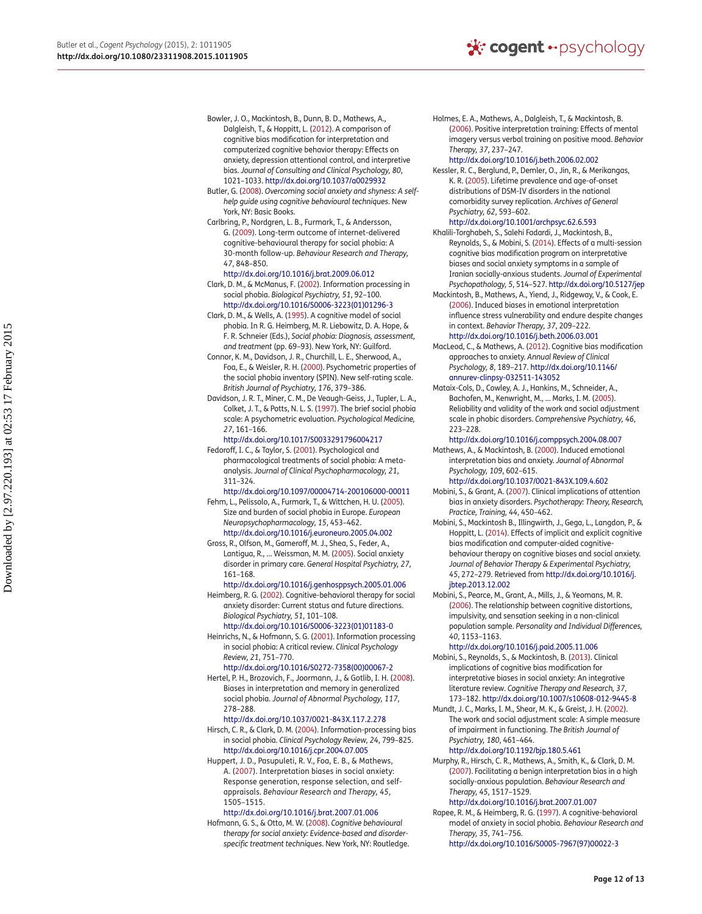- <span id="page-11-14"></span>Bowler, J. O., Mackintosh, B., Dunn, B. D., Mathews, A., Dalgleish, T., & Hoppitt, L. [\(2012](#page-1-8)). A comparison of cognitive bias modification for interpretation and computerized cognitive behavior therapy: Effects on anxiety, depression attentional control, and interpretive bias. *Journal of Consulting and Clinical Psychology, 80*, 1021–1033.<http://dx.doi.org/10.1037/a0029932>
- <span id="page-11-25"></span>Butler, G. [\(2008\)](#page-4-1). *Overcoming social anxiety and shyness: A selfhelp guide using cognitive behavioural techniques*. New York, NY: Basic Books.
- <span id="page-11-7"></span>Carlbring, P., Nordgren, L. B., Furmark, T., & Andersson, G. ([2009\)](#page-1-9). Long-term outcome of internet-delivered cognitive-behavioural therapy for social phobia: A 30-month fo[ll](http://dx.doi.org/10.1016/j.brat.2009.06.012)ow-up. *Behaviour Research and Therapy, 47*, 848–850.

#### <http://dx.doi.org/10.1016/j.brat.2009.06.012>

- <span id="page-11-27"></span>Clark, D. M., & McManus, F. [\(2002](#page-9-0)). Information processing in social phobia. *Biological Psychiatry, 51*, 92–100[.](http://dx.doi.org/10.1016/S0006-3223(01)01296-3) [http://dx.doi.org/10.1016/S0006-3223\(01\)01296-3](http://dx.doi.org/10.1016/S0006-3223(01)01296-3)
- <span id="page-11-2"></span>Clark, D. M., & Wells, A. [\(1995](#page-1-10)). A cognitive model of social phobia. In R. G. Heimberg, M. R. Liebowitz, D. A. Hope, & F. R. Schneier (Eds.), *Social phobia: Diagnosis, assessment, and treatment* (pp. 69–93). New York, NY: Guilford.
- <span id="page-11-18"></span>Connor, K. M., Davidson, J. R., Churchill, L. E., Sherwood, A., Foa, E., & Weisler, R. H. [\(2000](#page-2-1)). Psychometric properties of the social phobia inventory (SPIN). New self-rating scale. *British Journal of Psychiatry, 176*, 379–386.
- <span id="page-11-19"></span>Davidson, J. R. T., Miner, C. M., De Veaugh-Geiss, J., Tupler, L. A., Colket, J. T., & Potts, N. L. S. [\(1997](#page-2-2)). The brief social phobia scale: A psyc[h](http://dx.doi.org/10.1017/S0033291796004217)ometric evaluation. *Psychological Medicine, 27*, 161–166.
- <http://dx.doi.org/10.1017/S0033291796004217>
- <span id="page-11-5"></span>Fedoroff, I. C., & Taylor, S. ([2001\)](#page-1-11). Psychological and pharmacological treatments of social phobia: A metaanalysis. *Journal of Clinical Psychopharmacology, 21*, 311–324[.](http://dx.doi.org/10.1097/00004714-200106000-00011)
- <span id="page-11-1"></span><http://dx.doi.org/10.1097/00004714-200106000-00011> Fehm, L., Pelissolo, A., Furmark, T., & Wittchen, H. U. ([2005\)](#page-1-12).
- Size and burden of social phobia in Europ[e](http://dx.doi.org/10.1016/j.euroneuro.2005.04.002). *European Neuropsychopharmacology, 15*, 453–462. <http://dx.doi.org/10.1016/j.euroneuro.2005.04.002>
- <span id="page-11-6"></span>Gross, R., Olfson, M., Gameroff, M. J., Shea, S., Feder, A., Lantigua, R., … Weissman, M. M. [\(2005\)](#page-1-13). Social anxiety disorder in primary care. *General Hospital Psychiatry, 27*, 161–168[.](http://dx.doi.org/10.1016/j.genhosppsych.2005.01.006)
	- <http://dx.doi.org/10.1016/j.genhosppsych.2005.01.006>
- <span id="page-11-4"></span>Heimberg, R. G. [\(2002\)](#page-1-14). Cognitive-behavioral therapy for social anxiety disorder: Current status and future directions. *Biological Psychiatry, 51*, 101–108[.](http://dx.doi.org/10.1016/S0006-3223(01)01183-0) [http://dx.doi.org/10.1016/S0006-3223\(01\)01183-0](http://dx.doi.org/10.1016/S0006-3223(01)01183-0)
- <span id="page-11-28"></span>Heinrichs, N., & Hofmann, S. G. [\(2001\)](#page-9-1). Information processing in social phobia: A critical review. *Clinical Psychology Review, 21*, 751–770[.](http://dx.doi.org/10.1016/S0272-7358(00)00067-2)
- <span id="page-11-8"></span>[http://dx.doi.org/10.1016/S0272-7358\(00\)00067-2](http://dx.doi.org/10.1016/S0272-7358(00)00067-2) Hertel, P. H., Brozovich, F., Joormann, J., & Gotlib, I. H. [\(2008](#page-1-15)). Biases in interpretation and memory in generalized social ph[o](http://dx.doi.org/10.1037/0021-843X.117.2.278)bia. *Journal of Abnormal Psychology, 117*, 278–288.
	- <http://dx.doi.org/10.1037/0021-843X.117.2.278>
- <span id="page-11-29"></span>Hirsch, C. R., & Clark, D. M. [\(2004](#page-9-2)). Information-processing bia[s](http://dx.doi.org/10.1016/j.cpr.2004.07.005) in social phobia. *Clinical Psychology Review, 24*, 799–825. <http://dx.doi.org/10.1016/j.cpr.2004.07.005>
- <span id="page-11-9"></span>Huppert, J. D., Pasupuleti, R. V., Foa, E. B., & Mathews, A. [\(2007\)](#page-1-16). Interpretation biases in social anxiety: Response generation, response selection, and selfappraisals. *Behaviour Research and Therapy, 45*, 1505–1515[.](http://dx.doi.org/10.1016/j.brat.2007.01.006)
- <span id="page-11-26"></span><http://dx.doi.org/10.1016/j.brat.2007.01.006> Hofmann, G. S., & Otto, M. W. ([2008](#page-4-2)). *Cognitive behavioural therapy for social anxiety: Evidence-based and disorderspecific treatment techniques*. New York, NY: Routledge.
- <span id="page-11-24"></span>Holmes, E. A., Mathews, A., Dalgleish, T., & Mackintosh, B. [\(2006](#page-4-3)). Positive interpretation training: Effects of mental imagery versus verba[l](http://dx.doi.org/10.1016/j.beth.2006.02.002) training on positive mood. *Behavior Therapy, 37*, 237–247.
- <span id="page-11-0"></span><http://dx.doi.org/10.1016/j.beth.2006.02.002> Kessler, R. C., Berglund, P., Demler, O., Jin, R., & Merikangas,
- K. R. [\(2005\)](#page-1-17). Lifetime prevalence and age-of-onset distributions of DSM-IV disorders in the national comorbidity survey replication. *Archives of General Psychiatry, 62*, 593–602[.](http://dx.doi.org/10.1001/archpsyc.62.6.593)
	- <http://dx.doi.org/10.1001/archpsyc.62.6.593>
- <span id="page-11-15"></span>Khalili-Torghabeh, S., Salehi Fadardi, J., Mackintosh, B., Reynolds, S., & Mobini, S. [\(2014\)](#page-1-18). Effects of a multi-session cognitive bias modification program on interpretative biases and social anxiety symptoms in a sample of Iranian socially-anxious students. *Journal of Experimental Psychopathology, 5*, 514–527[. http://dx.doi.org/10.5127/jep](http://dx.doi.org/10.5127/jep)
- <span id="page-11-23"></span>Mackintosh, B., Mathews, A., Yiend, J., Ridgeway, V., & Cook, E. [\(2006](#page-3-0)). Induced biases in emotional interpretation influence stress vulnerability and endure [d](http://dx.doi.org/10.1016/j.beth.2006.03.001)espite changes in context. *Behavior Therapy, 37*, 209–222. <http://dx.doi.org/10.1016/j.beth.2006.03.001>
- <span id="page-11-13"></span>MacLeod, C., & Mathews, A. [\(2012\)](#page-1-19). Cognitive bias modification approaches to anxiety. *Annual Review of Clinical Psychology, 8*, 189–217[. http://dx.doi.org/10.1146/](http://dx.doi.org/10.1146/annurev-clinpsy-032511-143052) [annurev-clinpsy-032511-143052](http://dx.doi.org/10.1146/annurev-clinpsy-032511-143052)
- <span id="page-11-22"></span>Mataix-Cols, D., Cowley, A. J., Hankins, M., Schneider, A., Bachofen, M., Kenwright, M., … Marks, I. M. [\(2005](#page-3-1)). Reliability and validity of the work and social adjustment scale in phobic disorders. *Comprehensive Psychiatry, 46*, 223–228[.](http://dx.doi.org/10.1016/j.comppsych.2004.08.007)
	- <http://dx.doi.org/10.1016/j.comppsych.2004.08.007>
- <span id="page-11-12"></span>Mathews, A., & Mackintosh, B. [\(2000](#page-1-20)). Induced emotional interpretation bias and an[x](http://dx.doi.org/10.1037/0021-843X.109.4.602)iety. *Journal of Abnormal Psychology, 109*, 602–615.
	- <http://dx.doi.org/10.1037/0021-843X.109.4.602>
- <span id="page-11-10"></span>Mobini, S., & Grant, A. ([2007](#page-1-21)). Clinical implications of attention bias in anxiety disorders. *Psychotherapy: Theory, Research, Practice, Training, 44*, 450–462.
- <span id="page-11-16"></span>Mobini, S., Mackintosh B., Illingwirth, J., Gega, L., Langdon, P., & Hoppitt, L. [\(2014](#page-1-22)). Effects of implicit and explicit cognitive bias modification and computer-aided cognitivebehaviour therapy on cognitive biases and social anxiety. *Journal of Behavior Therapy & Experimental Psychiatry, 45*, 272–279. Retrieved from [http://dx.doi.org/10.1016/j.](http://dx.doi.org/10.1016/j.jbtep.2013.12.002) [jbtep.2013.12.002](http://dx.doi.org/10.1016/j.jbtep.2013.12.002)
- <span id="page-11-20"></span>Mobini, S., Pearce, M., Grant, A., Mills, J., & Yeomans, M. R. [\(2006](#page-3-2)). The relationship between cognitive distortions, impulsivity, and sensation seeking in a non-clinical population sample. *Personality and Individual Differences, 40*, 1153–1163[.](http://dx.doi.org/10.1016/j.paid.2005.11.006)
- <span id="page-11-11"></span><http://dx.doi.org/10.1016/j.paid.2005.11.006> Mobini, S., Reynolds, S., & Mackintosh, B. ([2013\)](#page-1-23). Clinical implications of cognitive bias modification for interpretative biases in social anxiety: An integrative literature review. *Cognitive Therapy and Research, 37*, 173–182[. http://dx.doi.org/10.1007/s10608-012-9445-8](http://dx.doi.org/10.1007/s10608-012-9445-8)
- <span id="page-11-21"></span>Mundt, J. C., Marks, I. M., Shear, M. K., & Greist, J. H. ([2002](#page-3-3)). The work and social adjustment scale: A simple measure of impairment in functio[ni](http://dx.doi.org/10.1192/bjp.180.5.461)ng. *The British Journal of Psychiatry, 180*, 461–464. <http://dx.doi.org/10.1192/bjp.180.5.461>
- <span id="page-11-17"></span>Murphy, R., Hirsch, C. R., Mathews, A., Smith, K., & Clark, D. M. [\(2007](#page-1-24)). Facilitating a benign interpretation bias in a high socially-anxious population. *Behaviour Research and Therapy, 45*, 1517–1529[.](http://dx.doi.org/10.1016/j.brat.2007.01.007)
- <span id="page-11-3"></span><http://dx.doi.org/10.1016/j.brat.2007.01.007> Rapee, R. M., & Heimberg, R. G. [\(1997\)](#page-1-25). A cognitive-behavioral model of anxiety in s[oc](http://dx.doi.org/10.1016/S0005-7967(97)00022-3)ial phobia. *Behaviour Research and Therapy, 35*, 741–756. [http://dx.doi.org/10.1016/S0005-7967\(97\)00022-3](http://dx.doi.org/10.1016/S0005-7967(97)00022-3)

Downloaded by [2.97.220.193] at 02:53 17 February 2015

Downloaded by [2.97.220.193] at 02:53 17 February 2015